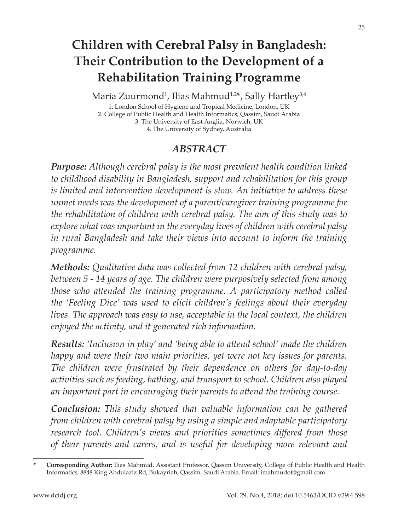# **Children with Cerebral Palsy in Bangladesh: Their Contribution to the Development of a Rehabilitation Training Programme**

Maria Zuurmond<sup>1</sup>, Ilias Mahmud<sup>1,2</sup>\*, Sally Hartley<sup>3,4</sup>

1. London School of Hygiene and Tropical Medicine, London, UK 2. College of Public Health and Health Informatics, Qassim, Saudi Arabia 3. The University of East Anglia, Norwich, UK 4. The University of Sydney, Australia

#### *ABSTRACT*

*Purpose: Although cerebral palsy is the most prevalent health condition linked to childhood disability in Bangladesh, support and rehabilitation for this group is limited and intervention development is slow. An initiative to address these unmet needs was the development of a parent/caregiver training programme for the rehabilitation of children with cerebral palsy. The aim of this study was to explore what was important in the everyday lives of children with cerebral palsy in rural Bangladesh and take their views into account to inform the training programme.*

*Methods: Qualitative data was collected from 12 children with cerebral palsy, between 5 - 14 years of age. The children were purposively selected from among those who attended the training programme. A participatory method called the 'Feeling Dice' was used to elicit children's feelings about their everyday lives. The approach was easy to use, acceptable in the local context, the children enjoyed the activity, and it generated rich information.* 

*Results: 'Inclusion in play' and 'being able to attend school' made the children happy and were their two main priorities, yet were not key issues for parents. The children were frustrated by their dependence on others for day-to-day activities such as feeding, bathing, and transport to school. Children also played an important part in encouraging their parents to attend the training course.*

*Conclusion: This study showed that valuable information can be gathered from children with cerebral palsy by using a simple and adaptable participatory research tool. Children's views and priorities sometimes differed from those of their parents and carers, and is useful for developing more relevant and* 

**<sup>\*</sup> Corresponding Author:** Ilias Mahmud, Assistant Professor, Qassim University, College of Public Health and Health Informatics, 8848 King Abdulaziz Rd, Bukayriah, Qassim, Saudi Arabia. Email: imahmudot@gmail.com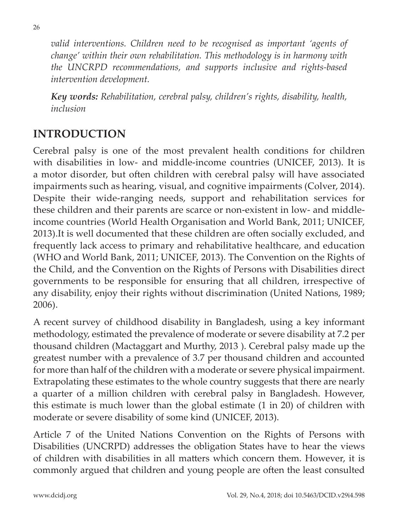*valid interventions. Children need to be recognised as important 'agents of change' within their own rehabilitation. This methodology is in harmony with the UNCRPD recommendations, and supports inclusive and rights-based intervention development.*

*Key words: Rehabilitation, cerebral palsy, children's rights, disability, health, inclusion*

## **INTRODUCTION**

Cerebral palsy is one of the most prevalent health conditions for children with disabilities in low- and middle-income countries (UNICEF, 2013). It is a motor disorder, but often children with cerebral palsy will have associated impairments such as hearing, visual, and cognitive impairments (Colver, 2014). Despite their wide-ranging needs, support and rehabilitation services for these children and their parents are scarce or non-existent in low- and middleincome countries (World Health Organisation and World Bank, 2011; UNICEF, 2013).It is well documented that these children are often socially excluded, and frequently lack access to primary and rehabilitative healthcare, and education (WHO and World Bank, 2011; UNICEF, 2013). The Convention on the Rights of the Child, and the Convention on the Rights of Persons with Disabilities direct governments to be responsible for ensuring that all children, irrespective of any disability, enjoy their rights without discrimination (United Nations, 1989; 2006).

A recent survey of childhood disability in Bangladesh, using a key informant methodology, estimated the prevalence of moderate or severe disability at 7.2 per thousand children (Mactaggart and Murthy, 2013 ). Cerebral palsy made up the greatest number with a prevalence of 3.7 per thousand children and accounted for more than half of the children with a moderate or severe physical impairment. Extrapolating these estimates to the whole country suggests that there are nearly a quarter of a million children with cerebral palsy in Bangladesh. However, this estimate is much lower than the global estimate (1 in 20) of children with moderate or severe disability of some kind (UNICEF, 2013).

Article 7 of the United Nations Convention on the Rights of Persons with Disabilities (UNCRPD) addresses the obligation States have to hear the views of children with disabilities in all matters which concern them. However, it is commonly argued that children and young people are often the least consulted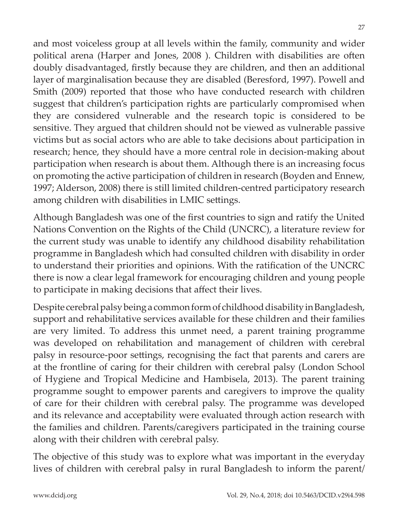and most voiceless group at all levels within the family, community and wider political arena (Harper and Jones, 2008 ). Children with disabilities are often doubly disadvantaged, firstly because they are children, and then an additional layer of marginalisation because they are disabled (Beresford, 1997). Powell and Smith (2009) reported that those who have conducted research with children suggest that children's participation rights are particularly compromised when they are considered vulnerable and the research topic is considered to be sensitive. They argued that children should not be viewed as vulnerable passive victims but as social actors who are able to take decisions about participation in research; hence, they should have a more central role in decision-making about participation when research is about them. Although there is an increasing focus on promoting the active participation of children in research (Boyden and Ennew, 1997; Alderson, 2008) there is still limited children-centred participatory research among children with disabilities in LMIC settings.

Although Bangladesh was one of the first countries to sign and ratify the United Nations Convention on the Rights of the Child (UNCRC), a literature review for the current study was unable to identify any childhood disability rehabilitation programme in Bangladesh which had consulted children with disability in order to understand their priorities and opinions. With the ratification of the UNCRC there is now a clear legal framework for encouraging children and young people to participate in making decisions that affect their lives.

Despite cerebral palsy being a common form of childhood disability in Bangladesh, support and rehabilitative services available for these children and their families are very limited. To address this unmet need, a parent training programme was developed on rehabilitation and management of children with cerebral palsy in resource-poor settings, recognising the fact that parents and carers are at the frontline of caring for their children with cerebral palsy (London School of Hygiene and Tropical Medicine and Hambisela, 2013). The parent training programme sought to empower parents and caregivers to improve the quality of care for their children with cerebral palsy. The programme was developed and its relevance and acceptability were evaluated through action research with the families and children. Parents/caregivers participated in the training course along with their children with cerebral palsy.

The objective of this study was to explore what was important in the everyday lives of children with cerebral palsy in rural Bangladesh to inform the parent/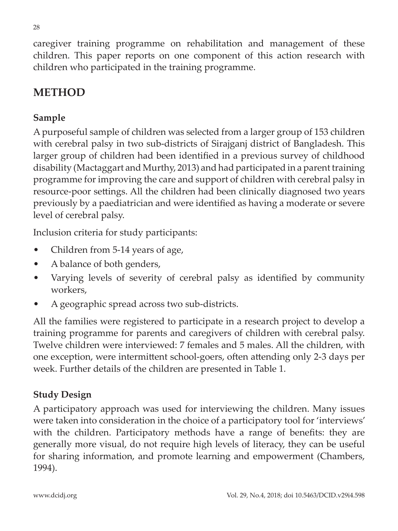caregiver training programme on rehabilitation and management of these children. This paper reports on one component of this action research with children who participated in the training programme.

## **METHOD**

#### **Sample**

A purposeful sample of children was selected from a larger group of 153 children with cerebral palsy in two sub-districts of Sirajganj district of Bangladesh. This larger group of children had been identified in a previous survey of childhood disability (Mactaggart and Murthy, 2013) and had participated in a parent training programme for improving the care and support of children with cerebral palsy in resource-poor settings. All the children had been clinically diagnosed two years previously by a paediatrician and were identified as having a moderate or severe level of cerebral palsy.

Inclusion criteria for study participants:

- Children from 5-14 years of age,
- A balance of both genders,
- Varying levels of severity of cerebral palsy as identified by community workers,
- A geographic spread across two sub-districts.

All the families were registered to participate in a research project to develop a training programme for parents and caregivers of children with cerebral palsy. Twelve children were interviewed: 7 females and 5 males. All the children, with one exception, were intermittent school-goers, often attending only 2-3 days per week. Further details of the children are presented in Table 1.

#### **Study Design**

A participatory approach was used for interviewing the children. Many issues were taken into consideration in the choice of a participatory tool for 'interviews' with the children. Participatory methods have a range of benefits: they are generally more visual, do not require high levels of literacy, they can be useful for sharing information, and promote learning and empowerment (Chambers, 1994).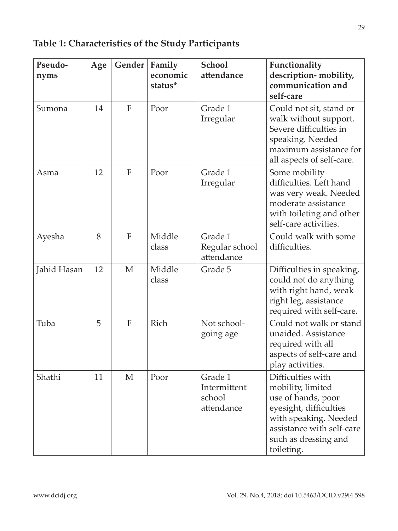#### **Pseudonyms Age Gender Family economic status\* School attendance Functionality description- mobility, communication and self-care** Sumona 14 F Poor Grade 1 Irregular Could not sit, stand or walk without support. Severe difficulties in speaking. Needed maximum assistance for all aspects of self-care. Asma  $\vert$  12 F Poor Grade 1 Irregular Some mobility difficulties. Left hand was very weak. Needed moderate assistance with toileting and other self-care activities. Ayesha | 8 | F | Middle class Grade 1 Regular school attendance Could walk with some difficulties.  $Jahid$  Hasan  $12$  M Middle class Grade 5 | Difficulties in speaking, could not do anything with right hand, weak right leg, assistance required with self-care. Tuba  $\vert 5 \vert$  F Rich Not schoolgoing age Could not walk or stand unaided. Assistance required with all aspects of self-care and play activities. Shathi 11 M Poor Grade 1 Intermittent school attendance Difficulties with mobility, limited use of hands, poor eyesight, difficulties with speaking. Needed assistance with self-care such as dressing and toileting.

#### **Table 1: Characteristics of the Study Participants**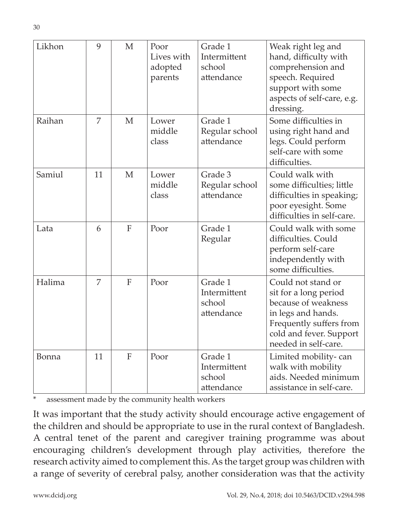| Likhon | 9  | M              | Poor<br>Lives with<br>adopted<br>parents | Grade 1<br>Intermittent<br>school<br>attendance | Weak right leg and<br>hand, difficulty with<br>comprehension and<br>speech. Required<br>support with some<br>aspects of self-care, e.g.<br>dressing.                   |
|--------|----|----------------|------------------------------------------|-------------------------------------------------|------------------------------------------------------------------------------------------------------------------------------------------------------------------------|
| Raihan | 7  | M              | Lower<br>middle<br>class                 | Grade 1<br>Regular school<br>attendance         | Some difficulties in<br>using right hand and<br>legs. Could perform<br>self-care with some<br>difficulties.                                                            |
| Samiul | 11 | M              | Lower<br>middle<br>class                 | Grade 3<br>Regular school<br>attendance         | Could walk with<br>some difficulties; little<br>difficulties in speaking;<br>poor eyesight. Some<br>difficulties in self-care.                                         |
| Lata   | 6  | $\overline{F}$ | Poor                                     | Grade 1<br>Regular                              | Could walk with some<br>difficulties. Could<br>perform self-care<br>independently with<br>some difficulties.                                                           |
| Halima | 7  | $\mathbf{F}$   | Poor                                     | Grade 1<br>Intermittent<br>school<br>attendance | Could not stand or<br>sit for a long period<br>because of weakness<br>in legs and hands.<br>Frequently suffers from<br>cold and fever. Support<br>needed in self-care. |
| Bonna  | 11 | $\mathbf{F}$   | Poor                                     | Grade 1<br>Intermittent<br>school<br>attendance | Limited mobility-can<br>walk with mobility<br>aids. Needed minimum<br>assistance in self-care.                                                                         |

\* assessment made by the community health workers

It was important that the study activity should encourage active engagement of the children and should be appropriate to use in the rural context of Bangladesh. A central tenet of the parent and caregiver training programme was about encouraging children's development through play activities, therefore the research activity aimed to complement this. As the target group was children with a range of severity of cerebral palsy, another consideration was that the activity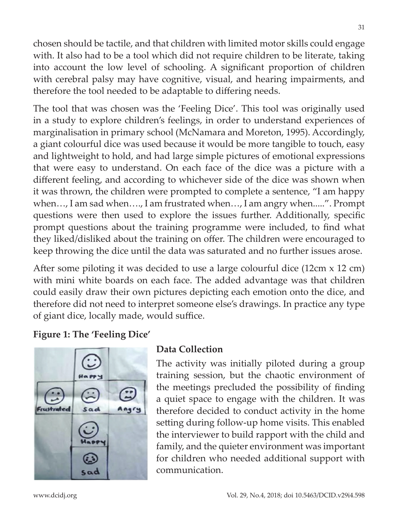chosen should be tactile, and that children with limited motor skills could engage with. It also had to be a tool which did not require children to be literate, taking into account the low level of schooling. A significant proportion of children with cerebral palsy may have cognitive, visual, and hearing impairments, and therefore the tool needed to be adaptable to differing needs.

The tool that was chosen was the 'Feeling Dice'. This tool was originally used in a study to explore children's feelings, in order to understand experiences of marginalisation in primary school (McNamara and Moreton, 1995). Accordingly, a giant colourful dice was used because it would be more tangible to touch, easy and lightweight to hold, and had large simple pictures of emotional expressions that were easy to understand. On each face of the dice was a picture with a different feeling, and according to whichever side of the dice was shown when it was thrown, the children were prompted to complete a sentence, "I am happy when…, I am sad when…., I am frustrated when…, I am angry when.....". Prompt questions were then used to explore the issues further. Additionally, specific prompt questions about the training programme were included, to find what they liked/disliked about the training on offer. The children were encouraged to keep throwing the dice until the data was saturated and no further issues arose.

After some piloting it was decided to use a large colourful dice (12cm x 12 cm) with mini white boards on each face. The added advantage was that children could easily draw their own pictures depicting each emotion onto the dice, and therefore did not need to interpret someone else's drawings. In practice any type of giant dice, locally made, would suffice.

#### **Figure 1: The 'Feeling Dice'**



#### **Data Collection**

The activity was initially piloted during a group training session, but the chaotic environment of the meetings precluded the possibility of finding a quiet space to engage with the children. It was therefore decided to conduct activity in the home setting during follow-up home visits. This enabled the interviewer to build rapport with the child and family, and the quieter environment was important for children who needed additional support with communication.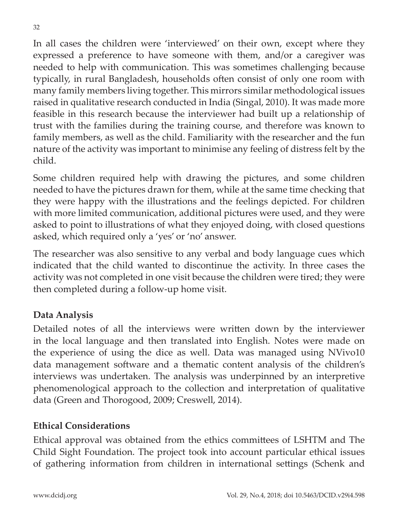In all cases the children were 'interviewed' on their own, except where they expressed a preference to have someone with them, and/or a caregiver was needed to help with communication. This was sometimes challenging because typically, in rural Bangladesh, households often consist of only one room with many family members living together. This mirrors similar methodological issues raised in qualitative research conducted in India (Singal, 2010). It was made more feasible in this research because the interviewer had built up a relationship of trust with the families during the training course, and therefore was known to family members, as well as the child. Familiarity with the researcher and the fun nature of the activity was important to minimise any feeling of distress felt by the child.

Some children required help with drawing the pictures, and some children needed to have the pictures drawn for them, while at the same time checking that they were happy with the illustrations and the feelings depicted. For children with more limited communication, additional pictures were used, and they were asked to point to illustrations of what they enjoyed doing, with closed questions asked, which required only a 'yes' or 'no' answer.

The researcher was also sensitive to any verbal and body language cues which indicated that the child wanted to discontinue the activity. In three cases the activity was not completed in one visit because the children were tired; they were then completed during a follow-up home visit.

#### **Data Analysis**

Detailed notes of all the interviews were written down by the interviewer in the local language and then translated into English. Notes were made on the experience of using the dice as well. Data was managed using NVivo10 data management software and a thematic content analysis of the children's interviews was undertaken. The analysis was underpinned by an interpretive phenomenological approach to the collection and interpretation of qualitative data (Green and Thorogood, 2009; Creswell, 2014).

#### **Ethical Considerations**

Ethical approval was obtained from the ethics committees of LSHTM and The Child Sight Foundation. The project took into account particular ethical issues of gathering information from children in international settings (Schenk and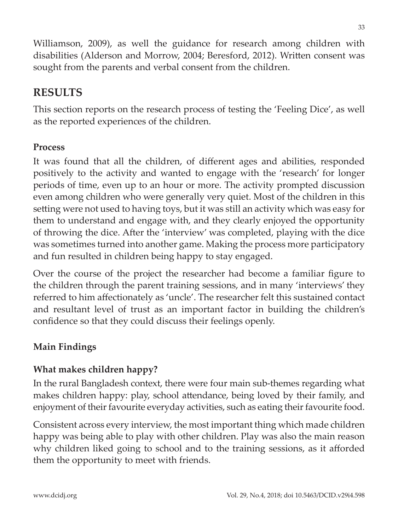Williamson, 2009), as well the guidance for research among children with disabilities (Alderson and Morrow, 2004; Beresford, 2012). Written consent was sought from the parents and verbal consent from the children.

## **RESULTS**

This section reports on the research process of testing the 'Feeling Dice', as well as the reported experiences of the children.

#### **Process**

It was found that all the children, of different ages and abilities, responded positively to the activity and wanted to engage with the 'research' for longer periods of time, even up to an hour or more. The activity prompted discussion even among children who were generally very quiet. Most of the children in this setting were not used to having toys, but it was still an activity which was easy for them to understand and engage with, and they clearly enjoyed the opportunity of throwing the dice. After the 'interview' was completed, playing with the dice was sometimes turned into another game. Making the process more participatory and fun resulted in children being happy to stay engaged.

Over the course of the project the researcher had become a familiar figure to the children through the parent training sessions, and in many 'interviews' they referred to him affectionately as 'uncle'. The researcher felt this sustained contact and resultant level of trust as an important factor in building the children's confidence so that they could discuss their feelings openly.

#### **Main Findings**

#### **What makes children happy?**

In the rural Bangladesh context, there were four main sub-themes regarding what makes children happy: play, school attendance, being loved by their family, and enjoyment of their favourite everyday activities, such as eating their favourite food.

Consistent across every interview, the most important thing which made children happy was being able to play with other children. Play was also the main reason why children liked going to school and to the training sessions, as it afforded them the opportunity to meet with friends.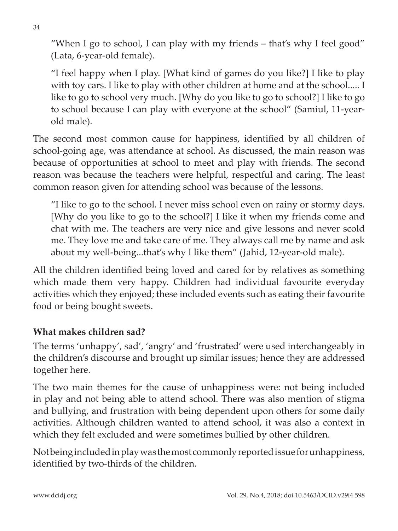"When I go to school, I can play with my friends – that's why I feel good" (Lata, 6-year-old female).

"I feel happy when I play. [What kind of games do you like?] I like to play with toy cars. I like to play with other children at home and at the school..... I like to go to school very much. [Why do you like to go to school?] I like to go to school because I can play with everyone at the school" (Samiul, 11-yearold male).

The second most common cause for happiness, identified by all children of school-going age, was attendance at school. As discussed, the main reason was because of opportunities at school to meet and play with friends. The second reason was because the teachers were helpful, respectful and caring. The least common reason given for attending school was because of the lessons.

"I like to go to the school. I never miss school even on rainy or stormy days. [Why do you like to go to the school?] I like it when my friends come and chat with me. The teachers are very nice and give lessons and never scold me. They love me and take care of me. They always call me by name and ask about my well-being...that's why I like them" (Jahid, 12-year-old male).

All the children identified being loved and cared for by relatives as something which made them very happy. Children had individual favourite everyday activities which they enjoyed; these included events such as eating their favourite food or being bought sweets.

#### **What makes children sad?**

The terms 'unhappy', sad', 'angry' and 'frustrated' were used interchangeably in the children's discourse and brought up similar issues; hence they are addressed together here.

The two main themes for the cause of unhappiness were: not being included in play and not being able to attend school. There was also mention of stigma and bullying, and frustration with being dependent upon others for some daily activities. Although children wanted to attend school, it was also a context in which they felt excluded and were sometimes bullied by other children.

Not being included in play was the most commonly reported issue for unhappiness, identified by two-thirds of the children.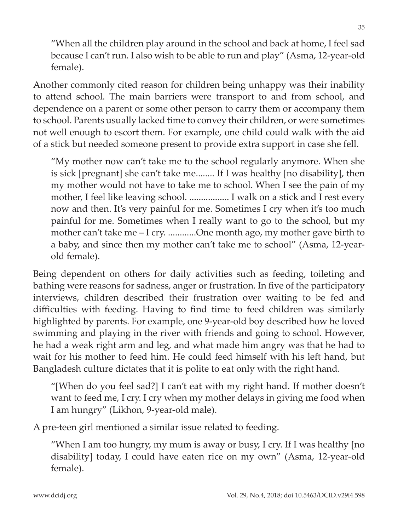"When all the children play around in the school and back at home, I feel sad because I can't run. I also wish to be able to run and play" (Asma, 12-year-old female).

Another commonly cited reason for children being unhappy was their inability to attend school. The main barriers were transport to and from school, and dependence on a parent or some other person to carry them or accompany them to school. Parents usually lacked time to convey their children, or were sometimes not well enough to escort them. For example, one child could walk with the aid of a stick but needed someone present to provide extra support in case she fell.

"My mother now can't take me to the school regularly anymore. When she is sick [pregnant] she can't take me........ If I was healthy [no disability], then my mother would not have to take me to school. When I see the pain of my mother, I feel like leaving school. ................. I walk on a stick and I rest every now and then. It's very painful for me. Sometimes I cry when it's too much painful for me. Sometimes when I really want to go to the school, but my mother can't take me – I cry. ............One month ago, my mother gave birth to a baby, and since then my mother can't take me to school" (Asma, 12-yearold female).

Being dependent on others for daily activities such as feeding, toileting and bathing were reasons for sadness, anger or frustration. In five of the participatory interviews, children described their frustration over waiting to be fed and difficulties with feeding. Having to find time to feed children was similarly highlighted by parents. For example, one 9-year-old boy described how he loved swimming and playing in the river with friends and going to school. However, he had a weak right arm and leg, and what made him angry was that he had to wait for his mother to feed him. He could feed himself with his left hand, but Bangladesh culture dictates that it is polite to eat only with the right hand.

"[When do you feel sad?] I can't eat with my right hand. If mother doesn't want to feed me, I cry. I cry when my mother delays in giving me food when I am hungry" (Likhon, 9-year-old male).

A pre-teen girl mentioned a similar issue related to feeding.

"When I am too hungry, my mum is away or busy, I cry. If I was healthy [no disability] today, I could have eaten rice on my own" (Asma, 12-year-old female).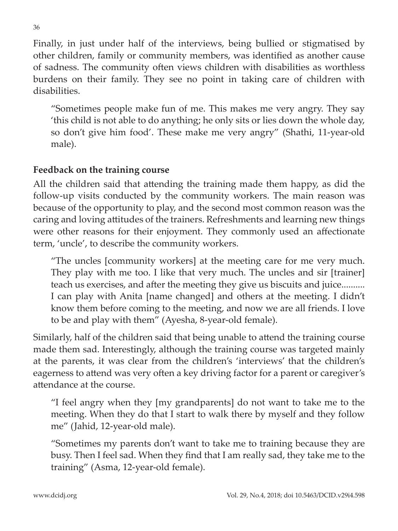Finally, in just under half of the interviews, being bullied or stigmatised by other children, family or community members, was identified as another cause of sadness. The community often views children with disabilities as worthless burdens on their family. They see no point in taking care of children with disabilities.

"Sometimes people make fun of me. This makes me very angry. They say 'this child is not able to do anything; he only sits or lies down the whole day, so don't give him food'. These make me very angry" (Shathi, 11-year-old male).

#### **Feedback on the training course**

All the children said that attending the training made them happy, as did the follow-up visits conducted by the community workers. The main reason was because of the opportunity to play, and the second most common reason was the caring and loving attitudes of the trainers. Refreshments and learning new things were other reasons for their enjoyment. They commonly used an affectionate term, 'uncle', to describe the community workers.

"The uncles [community workers] at the meeting care for me very much. They play with me too. I like that very much. The uncles and sir [trainer] teach us exercises, and after the meeting they give us biscuits and juice.......... I can play with Anita [name changed] and others at the meeting. I didn't know them before coming to the meeting, and now we are all friends. I love to be and play with them" (Ayesha, 8-year-old female).

Similarly, half of the children said that being unable to attend the training course made them sad. Interestingly, although the training course was targeted mainly at the parents, it was clear from the children's 'interviews' that the children's eagerness to attend was very often a key driving factor for a parent or caregiver's attendance at the course.

"I feel angry when they [my grandparents] do not want to take me to the meeting. When they do that I start to walk there by myself and they follow me" (Jahid, 12-year-old male).

"Sometimes my parents don't want to take me to training because they are busy. Then I feel sad. When they find that I am really sad, they take me to the training" (Asma, 12-year-old female).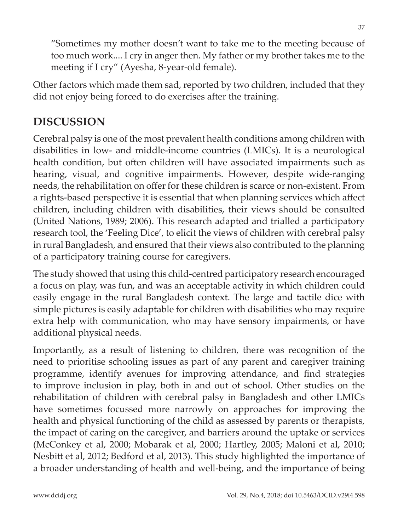"Sometimes my mother doesn't want to take me to the meeting because of too much work.... I cry in anger then. My father or my brother takes me to the meeting if I cry" (Ayesha, 8-year-old female).

Other factors which made them sad, reported by two children, included that they did not enjoy being forced to do exercises after the training.

## **DISCUSSION**

Cerebral palsy is one of the most prevalent health conditions among children with disabilities in low- and middle-income countries (LMICs). It is a neurological health condition, but often children will have associated impairments such as hearing, visual, and cognitive impairments. However, despite wide-ranging needs, the rehabilitation on offer for these children is scarce or non-existent. From a rights-based perspective it is essential that when planning services which affect children, including children with disabilities, their views should be consulted (United Nations, 1989; 2006). This research adapted and trialled a participatory research tool, the 'Feeling Dice', to elicit the views of children with cerebral palsy in rural Bangladesh, and ensured that their views also contributed to the planning of a participatory training course for caregivers.

The study showed that using this child-centred participatory research encouraged a focus on play, was fun, and was an acceptable activity in which children could easily engage in the rural Bangladesh context. The large and tactile dice with simple pictures is easily adaptable for children with disabilities who may require extra help with communication, who may have sensory impairments, or have additional physical needs.

Importantly, as a result of listening to children, there was recognition of the need to prioritise schooling issues as part of any parent and caregiver training programme, identify avenues for improving attendance, and find strategies to improve inclusion in play, both in and out of school. Other studies on the rehabilitation of children with cerebral palsy in Bangladesh and other LMICs have sometimes focussed more narrowly on approaches for improving the health and physical functioning of the child as assessed by parents or therapists, the impact of caring on the caregiver, and barriers around the uptake or services (McConkey et al, 2000; Mobarak et al, 2000; Hartley, 2005; Maloni et al, 2010; Nesbitt et al, 2012; Bedford et al, 2013). This study highlighted the importance of a broader understanding of health and well-being, and the importance of being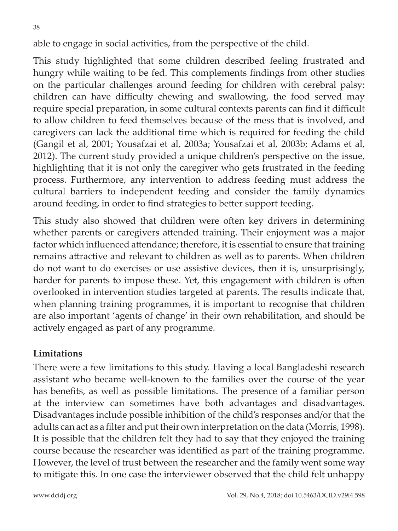able to engage in social activities, from the perspective of the child.

This study highlighted that some children described feeling frustrated and hungry while waiting to be fed. This complements findings from other studies on the particular challenges around feeding for children with cerebral palsy: children can have difficulty chewing and swallowing, the food served may require special preparation, in some cultural contexts parents can find it difficult to allow children to feed themselves because of the mess that is involved, and caregivers can lack the additional time which is required for feeding the child (Gangil et al, 2001; Yousafzai et al, 2003a; Yousafzai et al, 2003b; Adams et al, 2012). The current study provided a unique children's perspective on the issue, highlighting that it is not only the caregiver who gets frustrated in the feeding process. Furthermore, any intervention to address feeding must address the cultural barriers to independent feeding and consider the family dynamics around feeding, in order to find strategies to better support feeding.

This study also showed that children were often key drivers in determining whether parents or caregivers attended training. Their enjoyment was a major factor which influenced attendance; therefore, it is essential to ensure that training remains attractive and relevant to children as well as to parents. When children do not want to do exercises or use assistive devices, then it is, unsurprisingly, harder for parents to impose these. Yet, this engagement with children is often overlooked in intervention studies targeted at parents. The results indicate that, when planning training programmes, it is important to recognise that children are also important 'agents of change' in their own rehabilitation, and should be actively engaged as part of any programme.

#### **Limitations**

There were a few limitations to this study. Having a local Bangladeshi research assistant who became well-known to the families over the course of the year has benefits, as well as possible limitations. The presence of a familiar person at the interview can sometimes have both advantages and disadvantages. Disadvantages include possible inhibition of the child's responses and/or that the adults can act as a filter and put their own interpretation on the data (Morris, 1998). It is possible that the children felt they had to say that they enjoyed the training course because the researcher was identified as part of the training programme. However, the level of trust between the researcher and the family went some way to mitigate this. In one case the interviewer observed that the child felt unhappy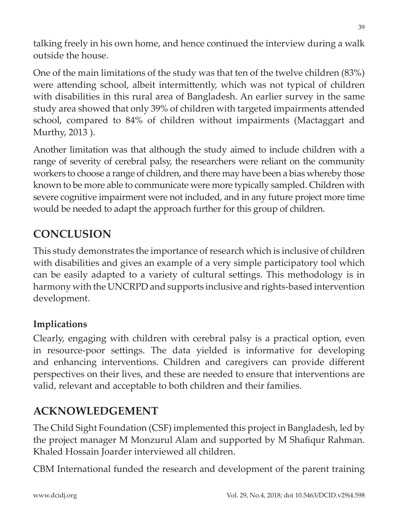talking freely in his own home, and hence continued the interview during a walk outside the house.

One of the main limitations of the study was that ten of the twelve children (83%) were attending school, albeit intermittently, which was not typical of children with disabilities in this rural area of Bangladesh. An earlier survey in the same study area showed that only 39% of children with targeted impairments attended school, compared to 84% of children without impairments (Mactaggart and Murthy, 2013 ).

Another limitation was that although the study aimed to include children with a range of severity of cerebral palsy, the researchers were reliant on the community workers to choose a range of children, and there may have been a bias whereby those known to be more able to communicate were more typically sampled. Children with severe cognitive impairment were not included, and in any future project more time would be needed to adapt the approach further for this group of children.

## **CONCLUSION**

This study demonstrates the importance of research which is inclusive of children with disabilities and gives an example of a very simple participatory tool which can be easily adapted to a variety of cultural settings. This methodology is in harmony with the UNCRPD and supports inclusive and rights-based intervention development.

#### **Implications**

Clearly, engaging with children with cerebral palsy is a practical option, even in resource-poor settings. The data yielded is informative for developing and enhancing interventions. Children and caregivers can provide different perspectives on their lives, and these are needed to ensure that interventions are valid, relevant and acceptable to both children and their families.

## **ACKNOWLEDGEMENT**

The Child Sight Foundation (CSF) implemented this project in Bangladesh, led by the project manager M Monzurul Alam and supported by M Shafiqur Rahman. Khaled Hossain Joarder interviewed all children.

CBM International funded the research and development of the parent training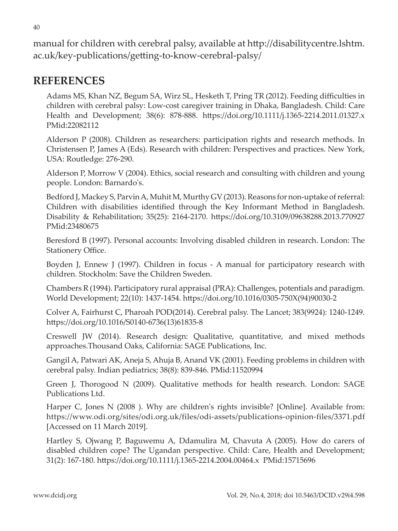manual for children with cerebral palsy, available at http://disabilitycentre.lshtm. ac.uk/key-publications/getting-to-know-cerebral-palsy/

### **REFERENCES**

Adams MS, Khan NZ, Begum SA, Wirz SL, Hesketh T, Pring TR (2012). Feeding difficulties in children with cerebral palsy: Low-cost caregiver training in Dhaka, Bangladesh. Child: Care Health and Development; 38(6): 878-888. https://doi.org/10.1111/j.1365-2214.2011.01327.x PMid:22082112

Alderson P (2008). Children as researchers: participation rights and research methods. In Christensen P, James A (Eds). Research with children: Perspectives and practices. New York, USA: Routledge: 276-290.

Alderson P, Morrow V (2004). Ethics, social research and consulting with children and young people. London: Barnardo's.

Bedford J, Mackey S, Parvin A, Muhit M, Murthy GV (2013). Reasons for non-uptake of referral: Children with disabilities identified through the Key Informant Method in Bangladesh. Disability & Rehabilitation; 35(25): 2164-2170. https://doi.org/10.3109/09638288.2013.770927 PMid:23480675

Beresford B (1997). Personal accounts: Involving disabled children in research. London: The Stationery Office.

Boyden J, Ennew J (1997). Children in focus - A manual for participatory research with children. Stockholm: Save the Children Sweden.

Chambers R (1994). Participatory rural appraisal (PRA): Challenges, potentials and paradigm. World Development; 22(10): 1437-1454. https://doi.org/10.1016/0305-750X(94)90030-2

Colver A, Fairhurst C, Pharoah POD(2014). Cerebral palsy. The Lancet; 383(9924): 1240-1249. https://doi.org/10.1016/S0140-6736(13)61835-8

Creswell JW (2014). Research design: Qualitative, quantitative, and mixed methods approaches.Thousand Oaks, California: SAGE Publications, Inc.

Gangil A, Patwari AK, Aneja S, Ahuja B, Anand VK (2001). Feeding problems in children with cerebral palsy. Indian pediatrics; 38(8): 839-846. PMid:11520994

Green J, Thorogood N (2009). Qualitative methods for health research. London: SAGE Publications Ltd.

Harper C, Jones N (2008 ). Why are children's rights invisible? [Online]. Available from: https://www.odi.org/sites/odi.org.uk/files/odi-assets/publications-opinion-files/3371.pdf [Accessed on 11 March 2019].

Hartley S, Ojwang P, Baguwemu A, Ddamulira M, Chavuta A (2005). How do carers of disabled children cope? The Ugandan perspective. Child: Care, Health and Development; 31(2): 167-180. https://doi.org/10.1111/j.1365-2214.2004.00464.x PMid:15715696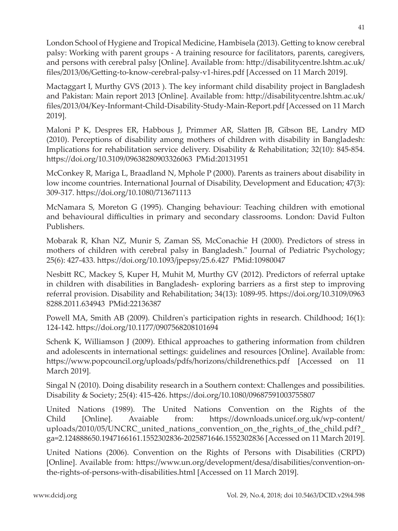London School of Hygiene and Tropical Medicine, Hambisela (2013). Getting to know cerebral palsy: Working with parent groups - A training resource for facilitators, parents, caregivers, and persons with cerebral palsy [Online]. Available from: http://disabilitycentre.lshtm.ac.uk/ files/2013/06/Getting-to-know-cerebral-palsy-v1-hires.pdf [Accessed on 11 March 2019].

Mactaggart I, Murthy GVS (2013 ). The key informant child disability project in Bangladesh and Pakistan: Main report 2013 [Online]. Available from: http://disabilitycentre.lshtm.ac.uk/ files/2013/04/Key-Informant-Child-Disability-Study-Main-Report.pdf [Accessed on 11 March 2019].

Maloni P K, Despres ER, Habbous J, Primmer AR, Slatten JB, Gibson BE, Landry MD (2010). Perceptions of disability among mothers of children with disability in Bangladesh: Implications for rehabilitation service delivery. Disability & Rehabilitation; 32(10): 845-854. https://doi.org/10.3109/09638280903326063 PMid:20131951

McConkey R, Mariga L, Braadland N, Mphole P (2000). Parents as trainers about disability in low income countries. International Journal of Disability, Development and Education; 47(3): 309-317. https://doi.org/10.1080/713671113

McNamara S, Moreton G (1995). Changing behaviour: Teaching children with emotional and behavioural difficulties in primary and secondary classrooms. London: David Fulton Publishers.

Mobarak R, Khan NZ, Munir S, Zaman SS, McConachie H (2000). Predictors of stress in mothers of children with cerebral palsy in Bangladesh." Journal of Pediatric Psychology; 25(6): 427-433. https://doi.org/10.1093/jpepsy/25.6.427 PMid:10980047

Nesbitt RC, Mackey S, Kuper H, Muhit M, Murthy GV (2012). Predictors of referral uptake in children with disabilities in Bangladesh- exploring barriers as a first step to improving referral provision. Disability and Rehabilitation; 34(13): 1089-95. https://doi.org/10.3109/0963 8288.2011.634943 PMid:22136387

Powell MA, Smith AB (2009). Children's participation rights in research. Childhood; 16(1): 124-142. https://doi.org/10.1177/0907568208101694

Schenk K, Williamson J (2009). Ethical approaches to gathering information from children and adolescents in international settings: guidelines and resources [Online]. Available from: https://www.popcouncil.org/uploads/pdfs/horizons/childrenethics.pdf [Accessed on 11 March 2019].

Singal N (2010). Doing disability research in a Southern context: Challenges and possibilities. Disability & Society; 25(4): 415-426. https://doi.org/10.1080/09687591003755807

United Nations (1989). The United Nations Convention on the Rights of the Child [Online]. Avaiable from: https://downloads.unicef.org.uk/wp-content/ uploads/2010/05/UNCRC united nations convention on the rights of the child.pdf? ga=2.124888650.1947166161.1552302836-2025871646.1552302836 [Accessed on 11 March 2019].

United Nations (2006). Convention on the Rights of Persons with Disabilities (CRPD) [Online]. Available from: https://www.un.org/development/desa/disabilities/convention-onthe-rights-of-persons-with-disabilities.html [Accessed on 11 March 2019].